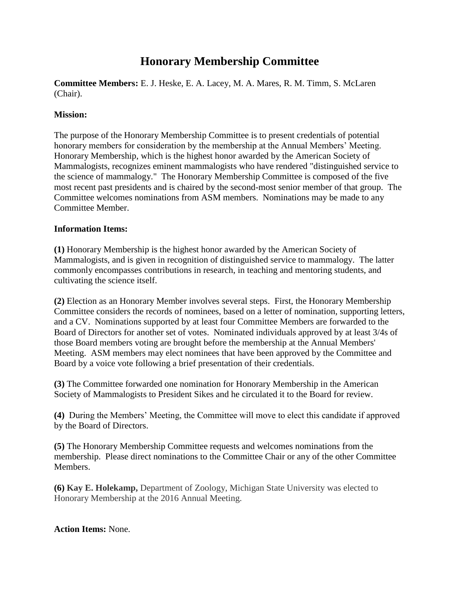## **Honorary Membership Committee**

**Committee Members:** E. J. Heske, E. A. Lacey, M. A. Mares, R. M. Timm, S. McLaren (Chair).

## **Mission:**

The purpose of the Honorary Membership Committee is to present credentials of potential honorary members for consideration by the membership at the Annual Members' Meeting. Honorary Membership, which is the highest honor awarded by the American Society of Mammalogists, recognizes eminent mammalogists who have rendered "distinguished service to the science of mammalogy." The Honorary Membership Committee is composed of the five most recent past presidents and is chaired by the second-most senior member of that group. The Committee welcomes nominations from ASM members. Nominations may be made to any Committee Member.

## **Information Items:**

**(1)** Honorary Membership is the highest honor awarded by the American Society of Mammalogists, and is given in recognition of distinguished service to mammalogy. The latter commonly encompasses contributions in research, in teaching and mentoring students, and cultivating the science itself.

**(2)** Election as an Honorary Member involves several steps. First, the Honorary Membership Committee considers the records of nominees, based on a letter of nomination, supporting letters, and a CV. Nominations supported by at least four Committee Members are forwarded to the Board of Directors for another set of votes. Nominated individuals approved by at least 3/4s of those Board members voting are brought before the membership at the Annual Members' Meeting. ASM members may elect nominees that have been approved by the Committee and Board by a voice vote following a brief presentation of their credentials.

**(3)** The Committee forwarded one nomination for Honorary Membership in the American Society of Mammalogists to President Sikes and he circulated it to the Board for review.

**(4)** During the Members' Meeting, the Committee will move to elect this candidate if approved by the Board of Directors.

**(5)** The Honorary Membership Committee requests and welcomes nominations from the membership. Please direct nominations to the Committee Chair or any of the other Committee Members.

**(6) Kay E. Holekamp,** Department of Zoology, Michigan State University was elected to Honorary Membership at the 2016 Annual Meeting.

**Action Items:** None.